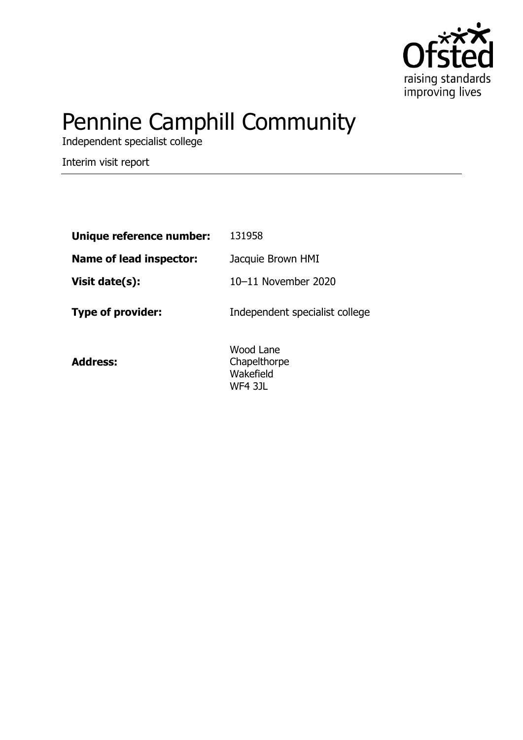

# Pennine Camphill Community

Independent specialist college

Interim visit report

| Unique reference number: | 131958                                            |
|--------------------------|---------------------------------------------------|
| Name of lead inspector:  | Jacquie Brown HMI                                 |
| Visit date(s):           | 10-11 November 2020                               |
| Type of provider:        | Independent specialist college                    |
| <b>Address:</b>          | Wood Lane<br>Chapelthorpe<br>Wakefield<br>WF4 3JL |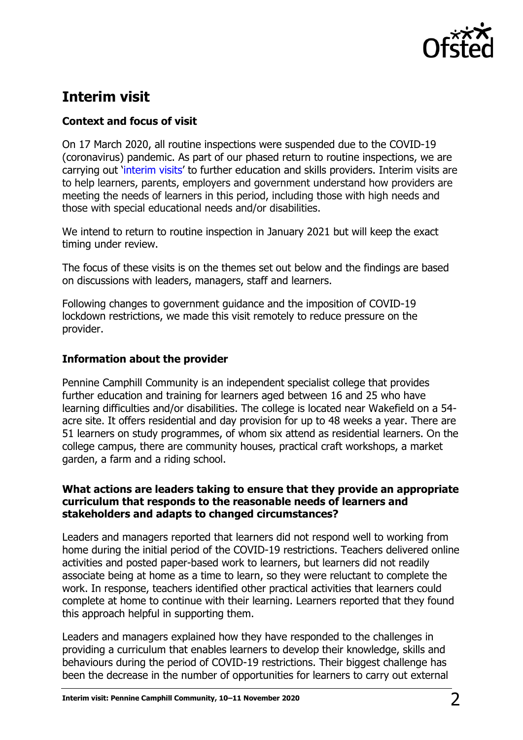

# **Interim visit**

# **Context and focus of visit**

On 17 March 2020, all routine inspections were suspended due to the COVID-19 (coronavirus) pandemic. As part of our phased return to routine inspections, we are carrying out '[interim visits](https://www.gov.uk/guidance/interim-phase-further-education-and-skills-providers#interim-visits)' to further education and skills providers. Interim visits are to help learners, parents, employers and government understand how providers are meeting the needs of learners in this period, including those with high needs and those with special educational needs and/or disabilities.

We intend to return to routine inspection in January 2021 but will keep the exact timing under review.

The focus of these visits is on the themes set out below and the findings are based on discussions with leaders, managers, staff and learners.

Following changes to government guidance and the imposition of COVID-19 lockdown restrictions, we made this visit remotely to reduce pressure on the provider.

## **Information about the provider**

Pennine Camphill Community is an independent specialist college that provides further education and training for learners aged between 16 and 25 who have learning difficulties and/or disabilities. The college is located near Wakefield on a 54 acre site. It offers residential and day provision for up to 48 weeks a year. There are 51 learners on study programmes, of whom six attend as residential learners. On the college campus, there are community houses, practical craft workshops, a market garden, a farm and a riding school.

### **What actions are leaders taking to ensure that they provide an appropriate curriculum that responds to the reasonable needs of learners and stakeholders and adapts to changed circumstances?**

Leaders and managers reported that learners did not respond well to working from home during the initial period of the COVID-19 restrictions. Teachers delivered online activities and posted paper-based work to learners, but learners did not readily associate being at home as a time to learn, so they were reluctant to complete the work. In response, teachers identified other practical activities that learners could complete at home to continue with their learning. Learners reported that they found this approach helpful in supporting them.

Leaders and managers explained how they have responded to the challenges in providing a curriculum that enables learners to develop their knowledge, skills and behaviours during the period of COVID-19 restrictions. Their biggest challenge has been the decrease in the number of opportunities for learners to carry out external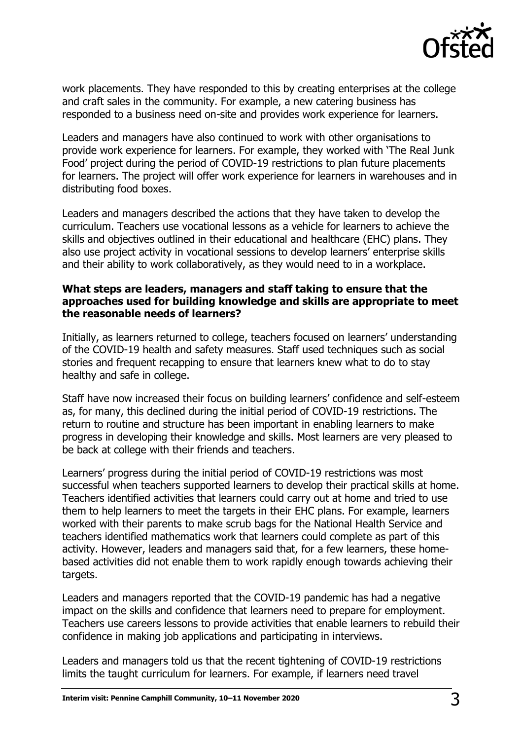

work placements. They have responded to this by creating enterprises at the college and craft sales in the community. For example, a new catering business has responded to a business need on-site and provides work experience for learners.

Leaders and managers have also continued to work with other organisations to provide work experience for learners. For example, they worked with 'The Real Junk Food' project during the period of COVID-19 restrictions to plan future placements for learners. The project will offer work experience for learners in warehouses and in distributing food boxes.

Leaders and managers described the actions that they have taken to develop the curriculum. Teachers use vocational lessons as a vehicle for learners to achieve the skills and objectives outlined in their educational and healthcare (EHC) plans. They also use project activity in vocational sessions to develop learners' enterprise skills and their ability to work collaboratively, as they would need to in a workplace.

#### **What steps are leaders, managers and staff taking to ensure that the approaches used for building knowledge and skills are appropriate to meet the reasonable needs of learners?**

Initially, as learners returned to college, teachers focused on learners' understanding of the COVID-19 health and safety measures. Staff used techniques such as social stories and frequent recapping to ensure that learners knew what to do to stay healthy and safe in college.

Staff have now increased their focus on building learners' confidence and self-esteem as, for many, this declined during the initial period of COVID-19 restrictions. The return to routine and structure has been important in enabling learners to make progress in developing their knowledge and skills. Most learners are very pleased to be back at college with their friends and teachers.

Learners' progress during the initial period of COVID-19 restrictions was most successful when teachers supported learners to develop their practical skills at home. Teachers identified activities that learners could carry out at home and tried to use them to help learners to meet the targets in their EHC plans. For example, learners worked with their parents to make scrub bags for the National Health Service and teachers identified mathematics work that learners could complete as part of this activity. However, leaders and managers said that, for a few learners, these homebased activities did not enable them to work rapidly enough towards achieving their targets.

Leaders and managers reported that the COVID-19 pandemic has had a negative impact on the skills and confidence that learners need to prepare for employment. Teachers use careers lessons to provide activities that enable learners to rebuild their confidence in making job applications and participating in interviews.

Leaders and managers told us that the recent tightening of COVID-19 restrictions limits the taught curriculum for learners. For example, if learners need travel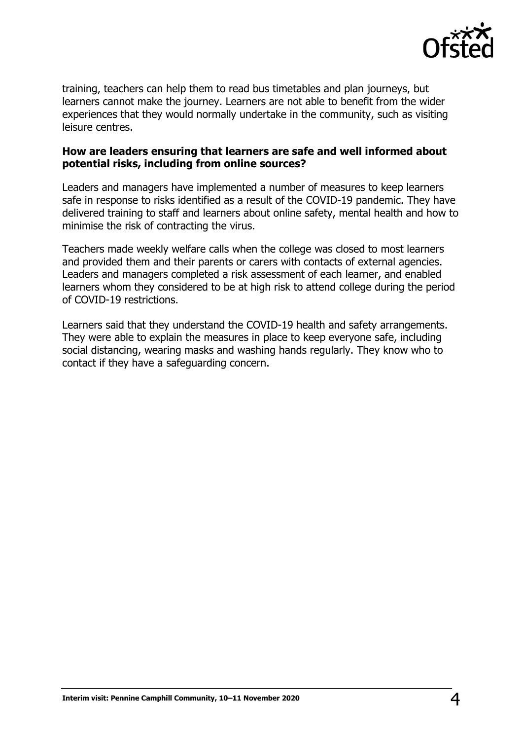

training, teachers can help them to read bus timetables and plan journeys, but learners cannot make the journey. Learners are not able to benefit from the wider experiences that they would normally undertake in the community, such as visiting leisure centres.

#### **How are leaders ensuring that learners are safe and well informed about potential risks, including from online sources?**

Leaders and managers have implemented a number of measures to keep learners safe in response to risks identified as a result of the COVID-19 pandemic. They have delivered training to staff and learners about online safety, mental health and how to minimise the risk of contracting the virus.

Teachers made weekly welfare calls when the college was closed to most learners and provided them and their parents or carers with contacts of external agencies. Leaders and managers completed a risk assessment of each learner, and enabled learners whom they considered to be at high risk to attend college during the period of COVID-19 restrictions.

Learners said that they understand the COVID-19 health and safety arrangements. They were able to explain the measures in place to keep everyone safe, including social distancing, wearing masks and washing hands regularly. They know who to contact if they have a safeguarding concern.